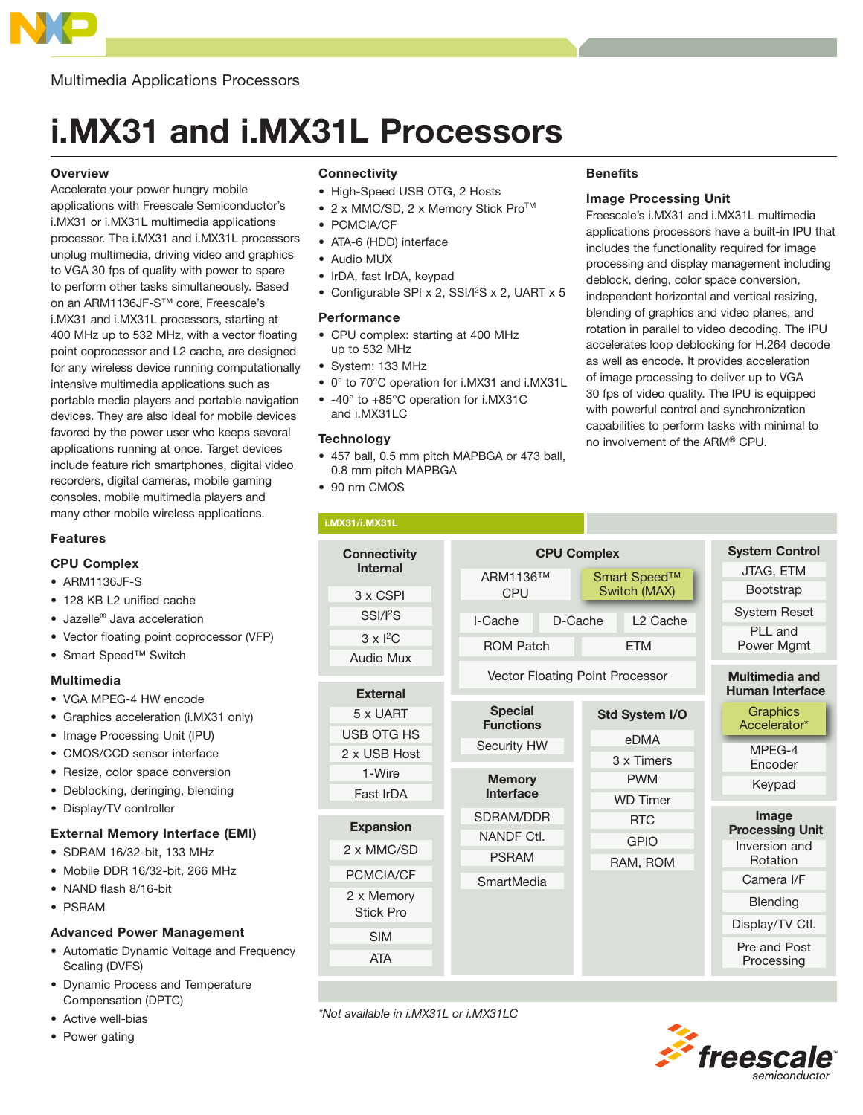

Multimedia Applications Processors

# i.MX31 and i.MX31L Processors

## **Overview**

Accelerate your power hungry mobile applications with Freescale Semiconductor's i.MX31 or i.MX31L multimedia applications processor. The i.MX31 and i.MX31L processors unplug multimedia, driving video and graphics to VGA 30 fps of quality with power to spare to perform other tasks simultaneously. Based on an ARM1136JF-S™ core, Freescale's i.MX31 and i.MX31L processors, starting at 400 MHz up to 532 MHz, with a vector floating point coprocessor and L2 cache, are designed for any wireless device running computationally intensive multimedia applications such as portable media players and portable navigation devices. They are also ideal for mobile devices favored by the power user who keeps several applications running at once. Target devices include feature rich smartphones, digital video recorders, digital cameras, mobile gaming consoles, mobile multimedia players and many other mobile wireless applications.

#### Features

#### CPU Complex

- ARM1136JF-S
- 128 KB L2 unified cache
- Jazelle® Java acceleration
- Vector floating point coprocessor (VFP)
- Smart Speed™ Switch

#### Multimedia

- VGA MPEG-4 HW encode
- Graphics acceleration (i.MX31 only)
- Image Processing Unit (IPU)
- CMOS/CCD sensor interface
- Resize, color space conversion
- Deblocking, deringing, blending
- Display/TV controller

# External Memory Interface (EMI)

- SDRAM 16/32-bit, 133 MHz
- Mobile DDR 16/32-bit, 266 MHz
- NAND flash 8/16-bit
- PSRAM

## Advanced Power Management

- Automatic Dynamic Voltage and Frequency Scaling (DVFS)
- Dynamic Process and Temperature Compensation (DPTC)
- Active well-bias
- Power gating

## **Connectivity**

- High-Speed USB OTG, 2 Hosts
- 2 x MMC/SD, 2 x Memory Stick Pro<sup>TM</sup>
- PCMCIA/CF
- ATA-6 (HDD) interface
- Audio MUX
- IrDA, fast IrDA, keypad
- Configurable SPI x 2, SSI/I<sup>2</sup>S x 2, UART x 5

#### **Performance**

- CPU complex: starting at 400 MHz up to 532 MHz
- System: 133 MHz
- 0° to 70°C operation for i.MX31 and i.MX31L
- -40° to +85°C operation for i.MX31C and i.MX31LC

# **Technology**

- 457 ball, 0.5 mm pitch MAPBGA or 473 ball, 0.8 mm pitch MAPBGA
- 90 nm CMOS

## **Benefits**

## Image Processing Unit

Freescale's i.MX31 and i.MX31L multimedia applications processors have a built-in IPU that includes the functionality required for image processing and display management including deblock, dering, color space conversion, independent horizontal and vertical resizing, blending of graphics and video planes, and rotation in parallel to video decoding. The IPU accelerates loop deblocking for H.264 decode as well as encode. It provides acceleration of image processing to deliver up to VGA 30 fps of video quality. The IPU is equipped with powerful control and synchronization capabilities to perform tasks with minimal to no involvement of the ARM® CPU.



\*Not available in i.MX31L or i.MX31LC